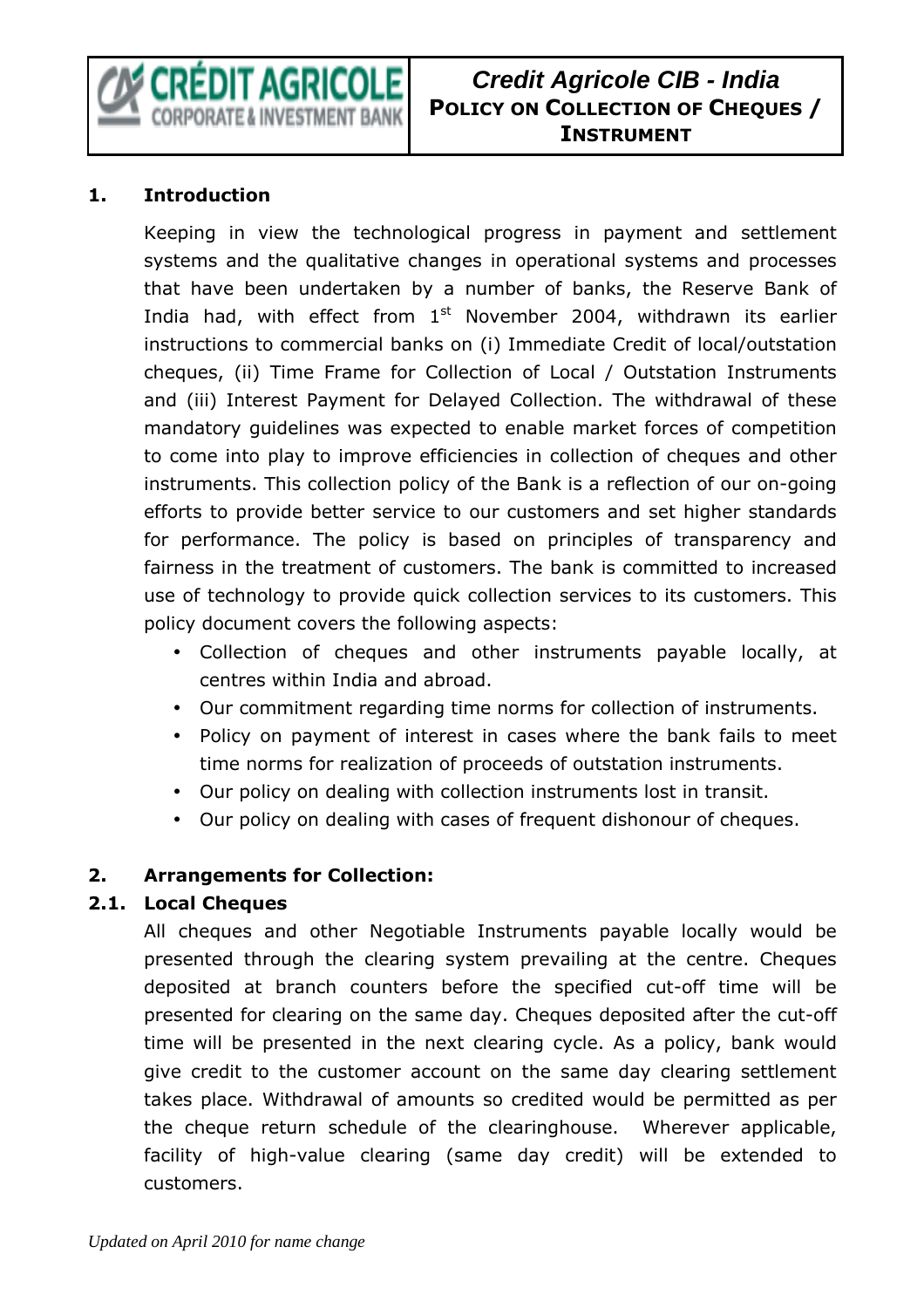

# **Credit Agricole CIB - India POLICY ON COLLECTION OF CHEQUES / INSTRUMENT**

### **1. Introduction**

Keeping in view the technological progress in payment and settlement systems and the qualitative changes in operational systems and processes that have been undertaken by a number of banks, the Reserve Bank of India had, with effect from  $1<sup>st</sup>$  November 2004, withdrawn its earlier instructions to commercial banks on (i) Immediate Credit of local/outstation cheques, (ii) Time Frame for Collection of Local / Outstation Instruments and (iii) Interest Payment for Delayed Collection. The withdrawal of these mandatory guidelines was expected to enable market forces of competition to come into play to improve efficiencies in collection of cheques and other instruments. This collection policy of the Bank is a reflection of our on-going efforts to provide better service to our customers and set higher standards for performance. The policy is based on principles of transparency and fairness in the treatment of customers. The bank is committed to increased use of technology to provide quick collection services to its customers. This policy document covers the following aspects:

- Collection of cheques and other instruments payable locally, at centres within India and abroad.
- Our commitment regarding time norms for collection of instruments.
- Policy on payment of interest in cases where the bank fails to meet time norms for realization of proceeds of outstation instruments.
- Our policy on dealing with collection instruments lost in transit.
- Our policy on dealing with cases of frequent dishonour of cheques.

### **2. Arrangements for Collection:**

### **2.1. Local Cheques**

All cheques and other Negotiable Instruments payable locally would be presented through the clearing system prevailing at the centre. Cheques deposited at branch counters before the specified cut-off time will be presented for clearing on the same day. Cheques deposited after the cut-off time will be presented in the next clearing cycle. As a policy, bank would give credit to the customer account on the same day clearing settlement takes place. Withdrawal of amounts so credited would be permitted as per the cheque return schedule of the clearinghouse. Wherever applicable, facility of high-value clearing (same day credit) will be extended to customers.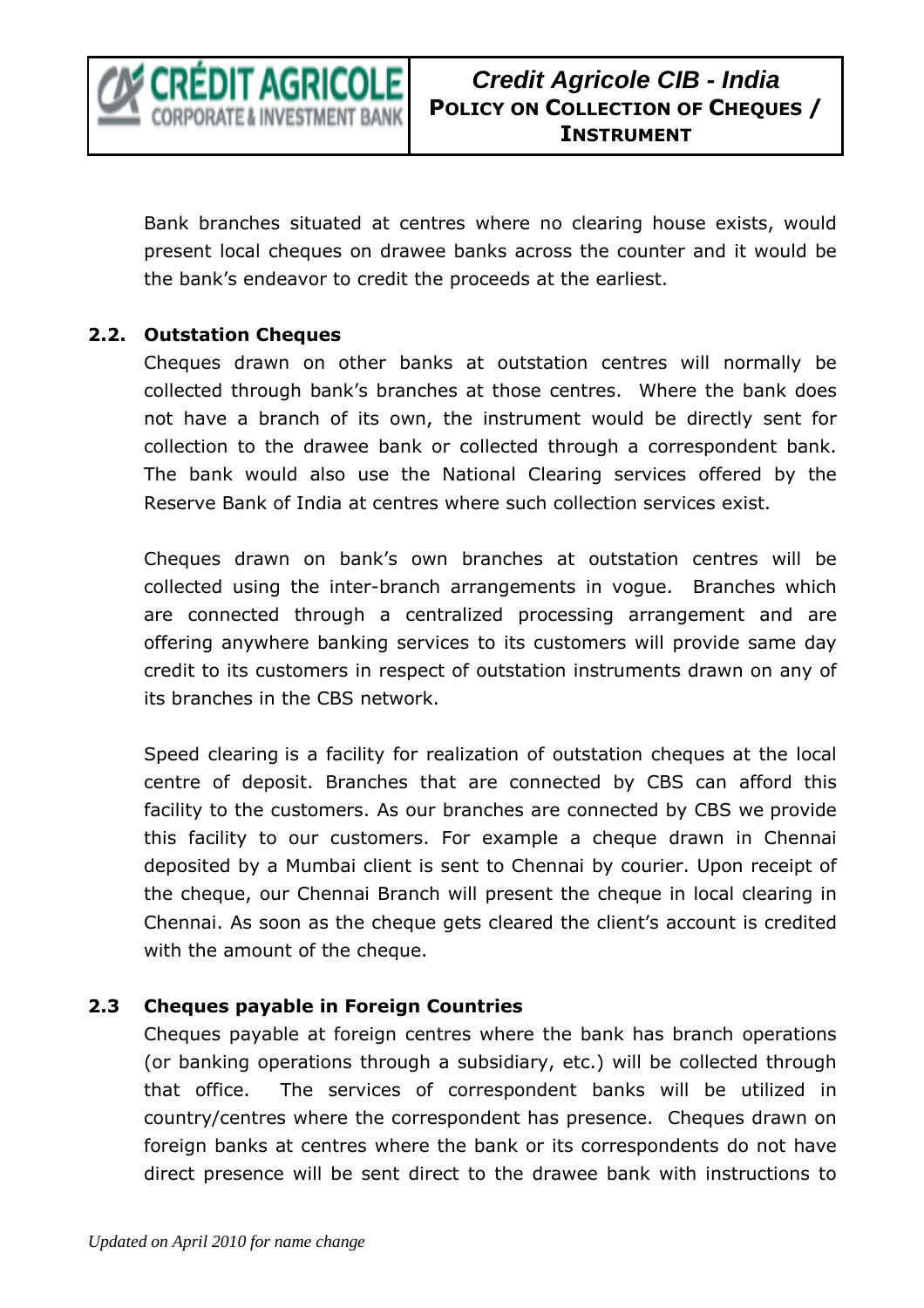

Bank branches situated at centres where no clearing house exists, would present local cheques on drawee banks across the counter and it would be the bank's endeavor to credit the proceeds at the earliest.

### **2.2. Outstation Cheques**

Cheques drawn on other banks at outstation centres will normally be collected through bank's branches at those centres. Where the bank does not have a branch of its own, the instrument would be directly sent for collection to the drawee bank or collected through a correspondent bank. The bank would also use the National Clearing services offered by the Reserve Bank of India at centres where such collection services exist.

Cheques drawn on bank's own branches at outstation centres will be collected using the inter-branch arrangements in vogue. Branches which are connected through a centralized processing arrangement and are offering anywhere banking services to its customers will provide same day credit to its customers in respect of outstation instruments drawn on any of its branches in the CBS network.

Speed clearing is a facility for realization of outstation cheques at the local centre of deposit. Branches that are connected by CBS can afford this facility to the customers. As our branches are connected by CBS we provide this facility to our customers. For example a cheque drawn in Chennai deposited by a Mumbai client is sent to Chennai by courier. Upon receipt of the cheque, our Chennai Branch will present the cheque in local clearing in Chennai. As soon as the cheque gets cleared the client's account is credited with the amount of the cheque.

### **2.3 Cheques payable in Foreign Countries**

Cheques payable at foreign centres where the bank has branch operations (or banking operations through a subsidiary, etc.) will be collected through that office. The services of correspondent banks will be utilized in country/centres where the correspondent has presence. Cheques drawn on foreign banks at centres where the bank or its correspondents do not have direct presence will be sent direct to the drawee bank with instructions to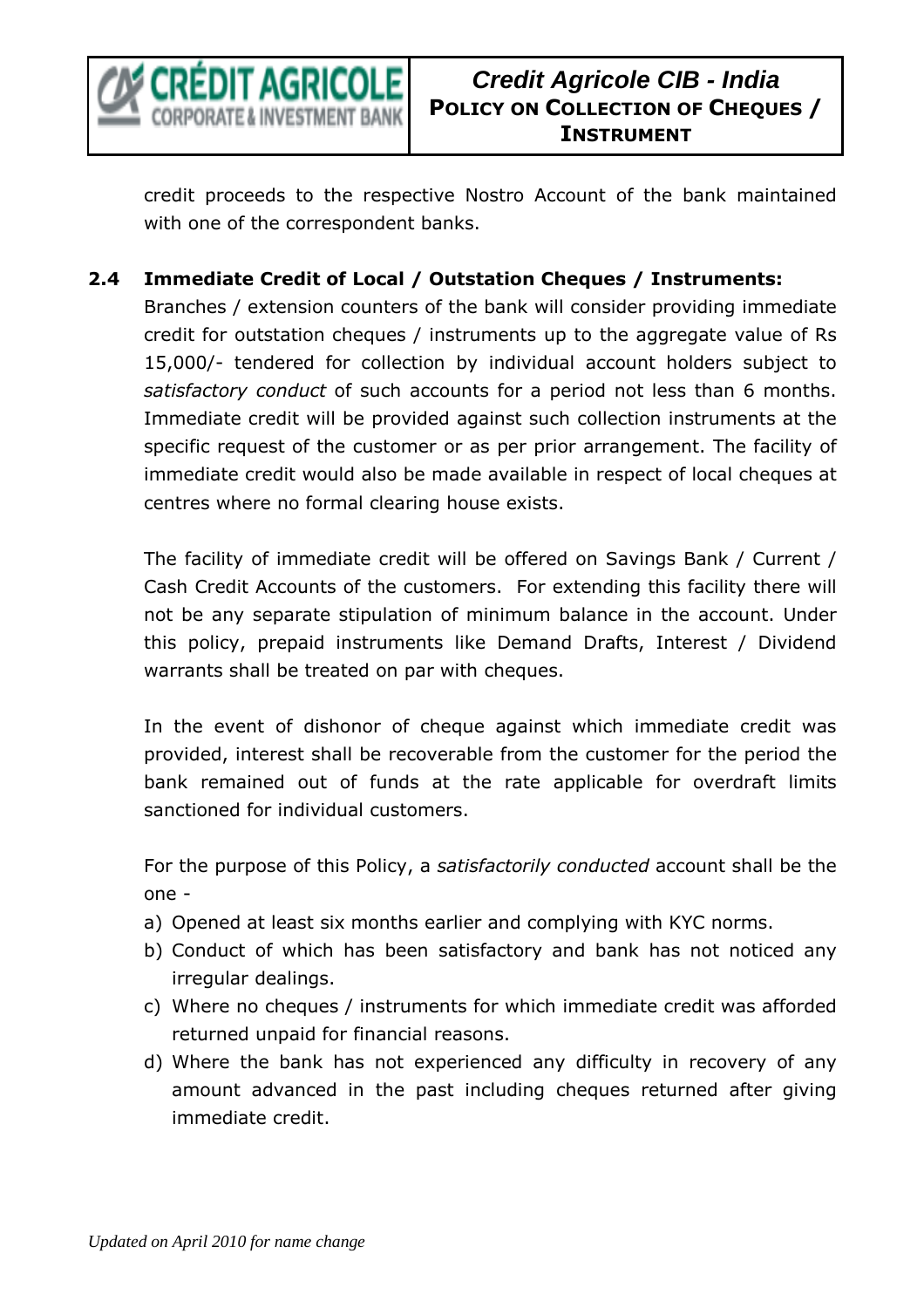

credit proceeds to the respective Nostro Account of the bank maintained with one of the correspondent banks.

## **2.4 Immediate Credit of Local / Outstation Cheques / Instruments:**

Branches / extension counters of the bank will consider providing immediate credit for outstation cheques / instruments up to the aggregate value of Rs 15,000/- tendered for collection by individual account holders subject to *satisfactory conduct* of such accounts for a period not less than 6 months. Immediate credit will be provided against such collection instruments at the specific request of the customer or as per prior arrangement. The facility of immediate credit would also be made available in respect of local cheques at centres where no formal clearing house exists.

The facility of immediate credit will be offered on Savings Bank / Current / Cash Credit Accounts of the customers. For extending this facility there will not be any separate stipulation of minimum balance in the account. Under this policy, prepaid instruments like Demand Drafts, Interest / Dividend warrants shall be treated on par with cheques.

In the event of dishonor of cheque against which immediate credit was provided, interest shall be recoverable from the customer for the period the bank remained out of funds at the rate applicable for overdraft limits sanctioned for individual customers.

For the purpose of this Policy, a *satisfactorily conducted* account shall be the one -

- a) Opened at least six months earlier and complying with KYC norms.
- b) Conduct of which has been satisfactory and bank has not noticed any irregular dealings.
- c) Where no cheques / instruments for which immediate credit was afforded returned unpaid for financial reasons.
- d) Where the bank has not experienced any difficulty in recovery of any amount advanced in the past including cheques returned after giving immediate credit.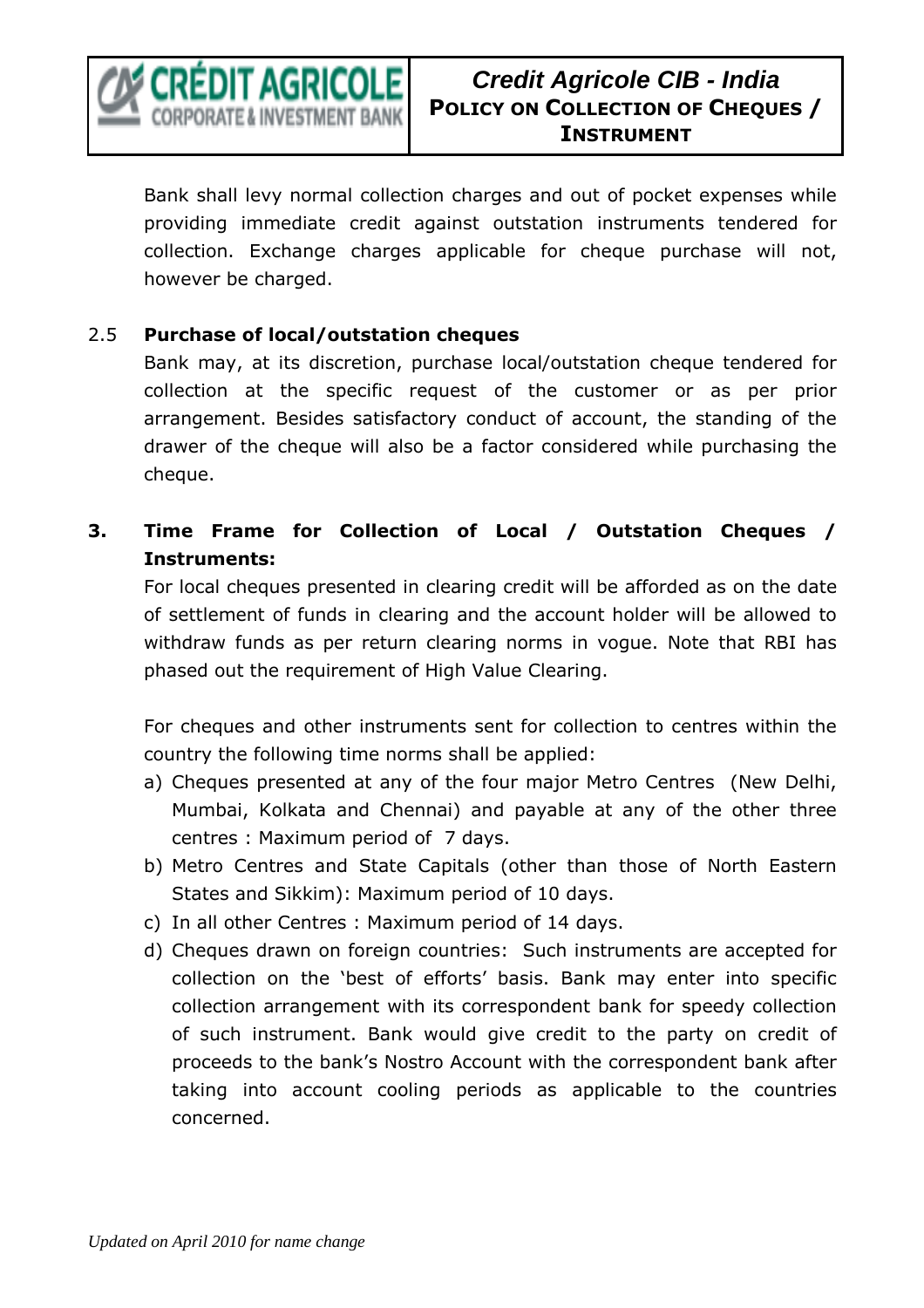

Bank shall levy normal collection charges and out of pocket expenses while providing immediate credit against outstation instruments tendered for collection. Exchange charges applicable for cheque purchase will not, however be charged.

### 2.5 **Purchase of local/outstation cheques**

Bank may, at its discretion, purchase local/outstation cheque tendered for collection at the specific request of the customer or as per prior arrangement. Besides satisfactory conduct of account, the standing of the drawer of the cheque will also be a factor considered while purchasing the cheque.

# **3. Time Frame for Collection of Local / Outstation Cheques / Instruments:**

For local cheques presented in clearing credit will be afforded as on the date of settlement of funds in clearing and the account holder will be allowed to withdraw funds as per return clearing norms in vogue. Note that RBI has phased out the requirement of High Value Clearing.

For cheques and other instruments sent for collection to centres within the country the following time norms shall be applied:

- a) Cheques presented at any of the four major Metro Centres (New Delhi, Mumbai, Kolkata and Chennai) and payable at any of the other three centres : Maximum period of 7 days.
- b) Metro Centres and State Capitals (other than those of North Eastern States and Sikkim): Maximum period of 10 days.
- c) In all other Centres : Maximum period of 14 days.
- d) Cheques drawn on foreign countries: Such instruments are accepted for collection on the 'best of efforts' basis. Bank may enter into specific collection arrangement with its correspondent bank for speedy collection of such instrument. Bank would give credit to the party on credit of proceeds to the bank's Nostro Account with the correspondent bank after taking into account cooling periods as applicable to the countries concerned.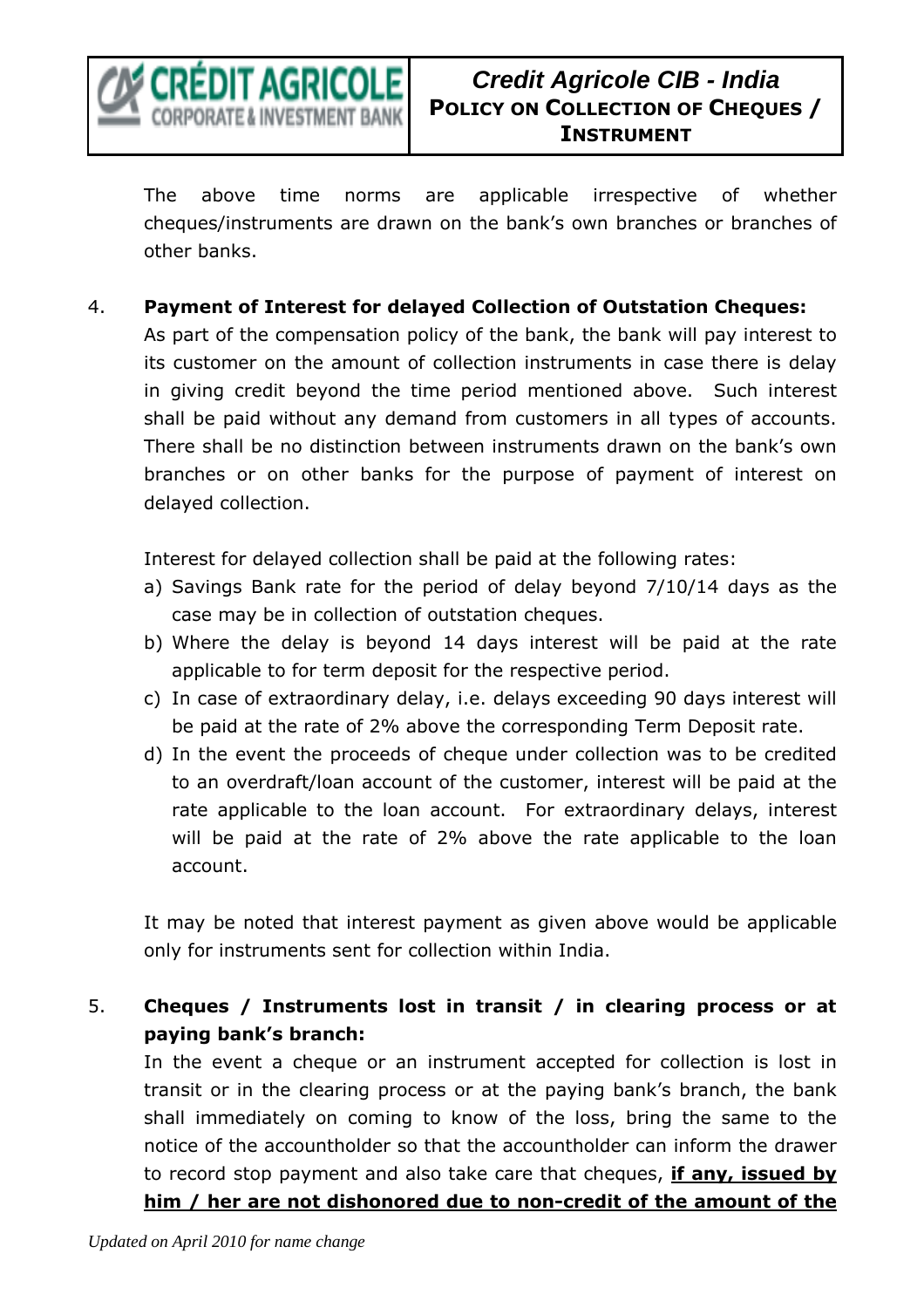

The above time norms are applicable irrespective of whether cheques/instruments are drawn on the bank's own branches or branches of other banks.

4. **Payment of Interest for delayed Collection of Outstation Cheques:** 

As part of the compensation policy of the bank, the bank will pay interest to its customer on the amount of collection instruments in case there is delay in giving credit beyond the time period mentioned above. Such interest shall be paid without any demand from customers in all types of accounts. There shall be no distinction between instruments drawn on the bank's own branches or on other banks for the purpose of payment of interest on delayed collection.

Interest for delayed collection shall be paid at the following rates:

- a) Savings Bank rate for the period of delay beyond 7/10/14 days as the case may be in collection of outstation cheques.
- b) Where the delay is beyond 14 days interest will be paid at the rate applicable to for term deposit for the respective period.
- c) In case of extraordinary delay, i.e. delays exceeding 90 days interest will be paid at the rate of 2% above the corresponding Term Deposit rate.
- d) In the event the proceeds of cheque under collection was to be credited to an overdraft/loan account of the customer, interest will be paid at the rate applicable to the loan account. For extraordinary delays, interest will be paid at the rate of 2% above the rate applicable to the loan account.

It may be noted that interest payment as given above would be applicable only for instruments sent for collection within India.

5. **Cheques / Instruments lost in transit / in clearing process or at paying bank's branch:** 

In the event a cheque or an instrument accepted for collection is lost in transit or in the clearing process or at the paying bank's branch, the bank shall immediately on coming to know of the loss, bring the same to the notice of the accountholder so that the accountholder can inform the drawer to record stop payment and also take care that cheques, **if any, issued by him / her are not dishonored due to non-credit of the amount of the**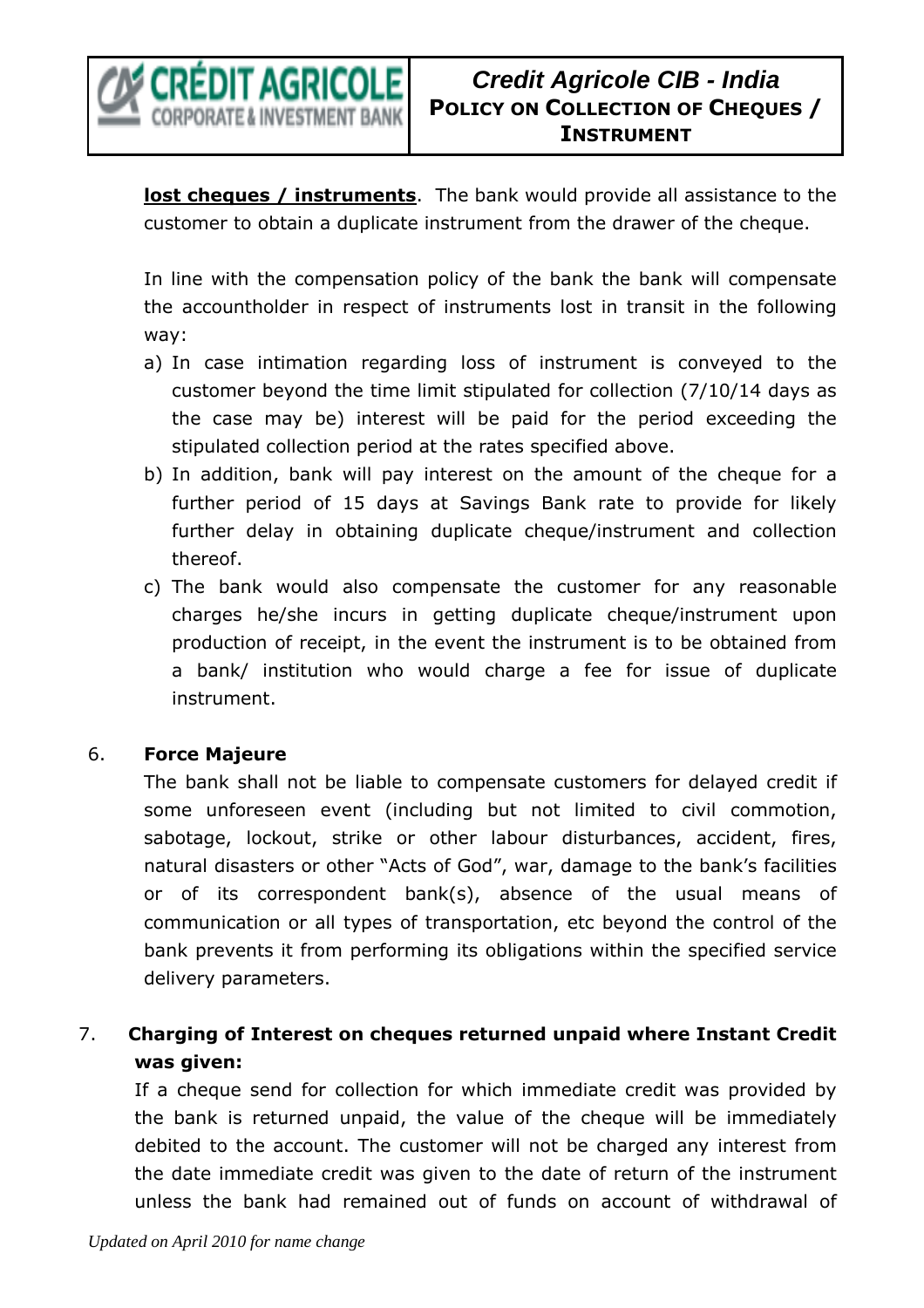

**lost cheques / instruments**. The bank would provide all assistance to the customer to obtain a duplicate instrument from the drawer of the cheque.

In line with the compensation policy of the bank the bank will compensate the accountholder in respect of instruments lost in transit in the following way:

- a) In case intimation regarding loss of instrument is conveyed to the customer beyond the time limit stipulated for collection (7/10/14 days as the case may be) interest will be paid for the period exceeding the stipulated collection period at the rates specified above.
- b) In addition, bank will pay interest on the amount of the cheque for a further period of 15 days at Savings Bank rate to provide for likely further delay in obtaining duplicate cheque/instrument and collection thereof.
- c) The bank would also compensate the customer for any reasonable charges he/she incurs in getting duplicate cheque/instrument upon production of receipt, in the event the instrument is to be obtained from a bank/ institution who would charge a fee for issue of duplicate instrument.

## 6. **Force Majeure**

The bank shall not be liable to compensate customers for delayed credit if some unforeseen event (including but not limited to civil commotion, sabotage, lockout, strike or other labour disturbances, accident, fires, natural disasters or other "Acts of God", war, damage to the bank's facilities or of its correspondent bank(s), absence of the usual means of communication or all types of transportation, etc beyond the control of the bank prevents it from performing its obligations within the specified service delivery parameters.

# 7. **Charging of Interest on cheques returned unpaid where Instant Credit was given:**

If a cheque send for collection for which immediate credit was provided by the bank is returned unpaid, the value of the cheque will be immediately debited to the account. The customer will not be charged any interest from the date immediate credit was given to the date of return of the instrument unless the bank had remained out of funds on account of withdrawal of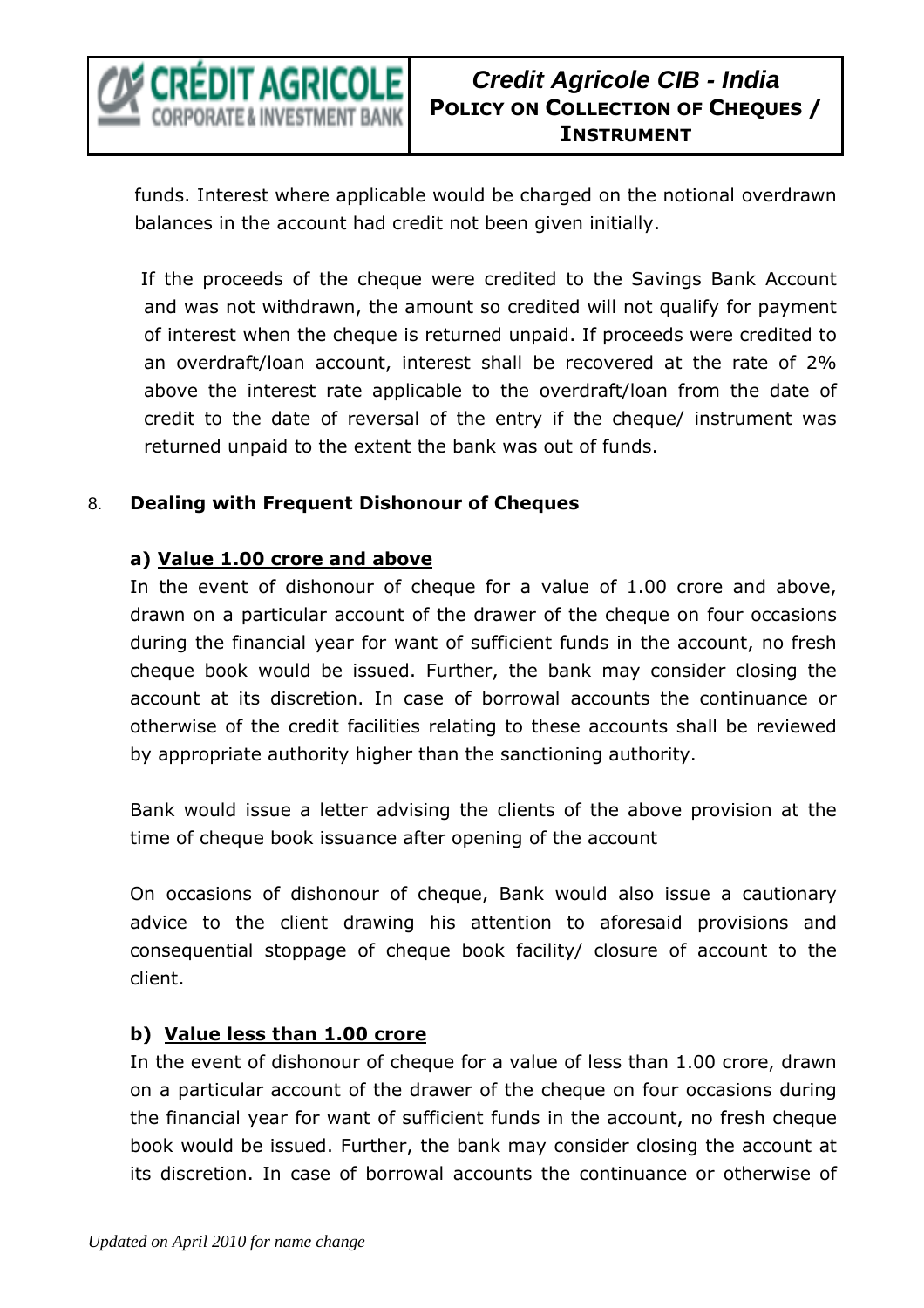

# **Credit Agricole CIB - India POLICY ON COLLECTION OF CHEQUES / INSTRUMENT**

funds. Interest where applicable would be charged on the notional overdrawn balances in the account had credit not been given initially.

 If the proceeds of the cheque were credited to the Savings Bank Account and was not withdrawn, the amount so credited will not qualify for payment of interest when the cheque is returned unpaid. If proceeds were credited to an overdraft/loan account, interest shall be recovered at the rate of 2% above the interest rate applicable to the overdraft/loan from the date of credit to the date of reversal of the entry if the cheque/ instrument was returned unpaid to the extent the bank was out of funds.

### 8. **Dealing with Frequent Dishonour of Cheques**

## **a) Value 1.00 crore and above**

In the event of dishonour of cheque for a value of 1.00 crore and above, drawn on a particular account of the drawer of the cheque on four occasions during the financial year for want of sufficient funds in the account, no fresh cheque book would be issued. Further, the bank may consider closing the account at its discretion. In case of borrowal accounts the continuance or otherwise of the credit facilities relating to these accounts shall be reviewed by appropriate authority higher than the sanctioning authority.

Bank would issue a letter advising the clients of the above provision at the time of cheque book issuance after opening of the account

On occasions of dishonour of cheque, Bank would also issue a cautionary advice to the client drawing his attention to aforesaid provisions and consequential stoppage of cheque book facility/ closure of account to the client.

## **b) Value less than 1.00 crore**

In the event of dishonour of cheque for a value of less than 1.00 crore, drawn on a particular account of the drawer of the cheque on four occasions during the financial year for want of sufficient funds in the account, no fresh cheque book would be issued. Further, the bank may consider closing the account at its discretion. In case of borrowal accounts the continuance or otherwise of